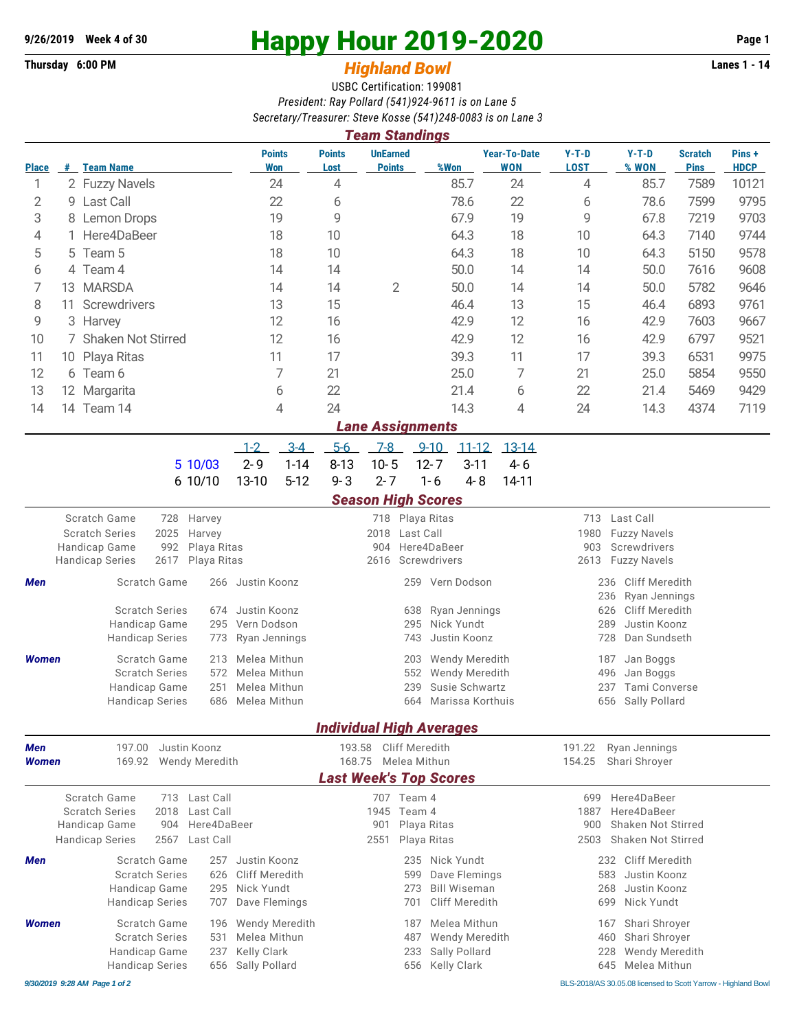## **9/26/2019** Week 4 of 30<br> **Happy Hour 2019-2020** Page 1<br> **Highland Rowl Lanes 1 - 14**<br>
Lanes 1 - 14

## **Thursday 6:00 PM** *Highland Bowl*

USBC Certification: 199081 *President: Ray Pollard (541)924-9611 is on Lane 5 Secretary/Treasurer: Steve Kosse (541)248-0083 is on Lane 3*

| <b>Team Standings</b>         |                                                             |                                                       |                        |                            |                              |                                       |                                               |                                  |                            |                                    |                                   |                                                      |                                |                               |                       |  |  |  |
|-------------------------------|-------------------------------------------------------------|-------------------------------------------------------|------------------------|----------------------------|------------------------------|---------------------------------------|-----------------------------------------------|----------------------------------|----------------------------|------------------------------------|-----------------------------------|------------------------------------------------------|--------------------------------|-------------------------------|-----------------------|--|--|--|
| <b>Place</b>                  | #                                                           | <b>Team Name</b>                                      |                        |                            |                              | <b>Points</b><br><b>Won</b>           | <b>Points</b><br>Lost                         | <b>UnEarned</b><br><b>Points</b> |                            | %Won                               | <b>Year-To-Date</b><br><b>WON</b> | $Y-T-D$<br><b>LOST</b>                               | $Y-T-D$<br>% WON               | <b>Scratch</b><br><b>Pins</b> | Pins +<br><b>HDCP</b> |  |  |  |
| 1                             |                                                             | 2 Fuzzy Navels                                        |                        |                            |                              | 24                                    | 4                                             |                                  |                            | 85.7                               | 24                                | 4                                                    | 85.7                           | 7589                          | 10121                 |  |  |  |
| 2                             |                                                             | 9 Last Call                                           |                        |                            |                              | 22                                    | 6                                             |                                  |                            | 78.6                               | 22                                | 6                                                    | 78.6                           | 7599                          | 9795                  |  |  |  |
| 3                             |                                                             | 8 Lemon Drops                                         |                        |                            |                              | 19                                    | 9                                             |                                  |                            | 67.9                               | 19                                | 9                                                    | 67.8                           | 7219                          | 9703                  |  |  |  |
| 4                             |                                                             | Here4DaBeer                                           |                        |                            |                              | 18                                    | 10                                            |                                  |                            | 64.3                               | 18                                | 10                                                   | 64.3                           | 7140                          | 9744                  |  |  |  |
| 5                             |                                                             | Team 5<br>5                                           |                        |                            |                              | 18                                    | 10                                            |                                  |                            | 64.3                               | 18                                | 10                                                   | 64.3                           | 5150                          | 9578                  |  |  |  |
| 6                             |                                                             | Team 4<br>4                                           |                        |                            |                              | 14                                    | 14                                            |                                  |                            | 50.0                               | 14                                | 14                                                   | 50.0                           | 7616                          | 9608                  |  |  |  |
| 7                             | 13 MARSDA                                                   |                                                       |                        |                            |                              | 14                                    | 14                                            | $\overline{2}$                   |                            | 50.0                               | 14                                | 14                                                   | 50.0                           | 5782                          | 9646                  |  |  |  |
| 8                             | Screwdrivers<br>11                                          |                                                       |                        |                            |                              | 13                                    | 15                                            |                                  |                            | 46.4                               | 13                                | 15                                                   | 46.4                           | 6893                          | 9761                  |  |  |  |
| 9                             | 3 Harvey                                                    |                                                       |                        |                            |                              | 12                                    | 16                                            |                                  |                            | 42.9                               | 12                                | 16                                                   | 42.9                           | 7603                          | 9667                  |  |  |  |
| 10                            | 7 Shaken Not Stirred                                        |                                                       |                        |                            |                              | 12                                    | 16                                            |                                  |                            | 42.9                               | 12                                | 16                                                   | 42.9                           | 6797                          | 9521                  |  |  |  |
| 11                            | 10 Playa Ritas                                              |                                                       |                        |                            |                              | 11                                    | 17                                            |                                  |                            | 39.3<br>11                         |                                   | 17                                                   | 39.3                           | 6531                          | 9975                  |  |  |  |
| 12                            | 6 Team 6                                                    |                                                       |                        |                            |                              | 7                                     | 21                                            |                                  |                            | 25.0                               | 7                                 | 21                                                   | 25.0                           | 5854                          | 9550                  |  |  |  |
| 13                            | 12 Margarita                                                |                                                       |                        | 6                          |                              |                                       |                                               | 21.4                             | 6                          | 22                                 | 21.4                              | 5469                                                 | 9429                           |                               |                       |  |  |  |
| 14                            |                                                             | 14 Team 14                                            |                        |                            |                              | 4                                     | 24                                            |                                  |                            | 14.3                               | 4                                 | 24                                                   | 14.3                           | 4374                          | 7119                  |  |  |  |
|                               |                                                             |                                                       |                        |                            |                              |                                       |                                               | <b>Lane Assignments</b>          |                            |                                    |                                   |                                                      |                                |                               |                       |  |  |  |
|                               | $3-4$<br>$5-6$<br>$7-8$<br>$11 - 12$<br>$1 - 2$<br>$9 - 10$ |                                                       |                        |                            |                              |                                       |                                               |                                  |                            |                                    | $13 - 14$                         |                                                      |                                |                               |                       |  |  |  |
|                               |                                                             |                                                       |                        | 5 10/03                    | $2 - 9$                      | $1 - 14$                              | $8 - 13$                                      | $10 - 5$                         | $12 - 7$                   | $3 - 11$                           | $4 - 6$                           |                                                      |                                |                               |                       |  |  |  |
|                               |                                                             |                                                       |                        | 6 10/10                    | 13-10                        | $5 - 12$                              | $9 - 3$                                       | $2 - 7$                          | $1 - 6$                    | $4 - 8$                            | 14-11                             |                                                      |                                |                               |                       |  |  |  |
|                               |                                                             |                                                       |                        |                            |                              |                                       |                                               | <b>Season High Scores</b>        |                            |                                    |                                   |                                                      |                                |                               |                       |  |  |  |
| Scratch Game<br>728<br>Harvey |                                                             |                                                       |                        |                            |                              |                                       |                                               |                                  | 718 Playa Ritas            |                                    |                                   | Last Call<br>713                                     |                                |                               |                       |  |  |  |
|                               |                                                             | <b>Scratch Series</b><br>2025<br>Harvey               |                        |                            |                              | 2018<br>Last Call                     |                                               |                                  |                            |                                    |                                   | 1980<br><b>Fuzzy Navels</b>                          |                                |                               |                       |  |  |  |
|                               |                                                             | Handicap Game<br>992<br>Playa Ritas                   |                        |                            |                              | Here4DaBeer<br>904                    |                                               |                                  |                            |                                    |                                   | Screwdrivers<br>903                                  |                                |                               |                       |  |  |  |
|                               |                                                             | <b>Handicap Series</b>                                | 2617                   | Playa Ritas                |                              |                                       |                                               | 2616                             | Screwdrivers               |                                    |                                   | 2613                                                 | <b>Fuzzy Navels</b>            |                               |                       |  |  |  |
| Men                           |                                                             | Scratch Game<br>266                                   |                        |                            |                              | Justin Koonz<br>Vern Dodson<br>259    |                                               |                                  |                            |                                    |                                   | 236<br><b>Cliff Meredith</b><br>236<br>Ryan Jennings |                                |                               |                       |  |  |  |
|                               | <b>Scratch Series</b><br>Justin Koonz<br>674                |                                                       |                        |                            |                              |                                       |                                               |                                  | 638                        | Ryan Jennings                      |                                   | <b>Cliff Meredith</b><br>626                         |                                |                               |                       |  |  |  |
|                               |                                                             | Handicap Game<br>295                                  |                        |                            | Vern Dodson                  |                                       |                                               |                                  | 295                        | Nick Yundt                         |                                   | Justin Koonz<br>289                                  |                                |                               |                       |  |  |  |
|                               |                                                             |                                                       | <b>Handicap Series</b> | 773                        | Ryan Jennings                |                                       |                                               |                                  | 743                        | Justin Koonz                       |                                   | 728                                                  | Dan Sundseth                   |                               |                       |  |  |  |
| <b>Women</b>                  |                                                             | Scratch Game<br>213                                   |                        |                            |                              | Melea Mithun<br>Wendy Meredith<br>203 |                                               |                                  |                            |                                    |                                   | 187<br>Jan Boggs                                     |                                |                               |                       |  |  |  |
|                               |                                                             | <b>Scratch Series</b><br>572                          |                        |                            | Melea Mithun                 |                                       |                                               |                                  | 552                        | Wendy Meredith                     |                                   | 496<br>Jan Boggs                                     |                                |                               |                       |  |  |  |
|                               |                                                             | 251<br>Handicap Game<br><b>Handicap Series</b><br>686 |                        |                            | Melea Mithun<br>Melea Mithun |                                       |                                               |                                  | 239<br>664                 | Susie Schwartz<br>Marissa Korthuis |                                   | 237<br>656                                           | Tami Converse<br>Sally Pollard |                               |                       |  |  |  |
|                               |                                                             |                                                       |                        |                            |                              |                                       |                                               |                                  |                            |                                    |                                   |                                                      |                                |                               |                       |  |  |  |
|                               |                                                             |                                                       |                        |                            |                              |                                       |                                               | <b>Individual High Averages</b>  |                            |                                    |                                   |                                                      |                                |                               |                       |  |  |  |
| Men                           |                                                             | 197.00                                                |                        | Justin Koonz               |                              |                                       | 193.58                                        |                                  | <b>Cliff Meredith</b>      |                                    |                                   | 191.22                                               | Ryan Jennings                  |                               |                       |  |  |  |
| <b>Women</b>                  |                                                             | 169.92                                                |                        | Wendy Meredith             |                              |                                       |                                               | 168.75 Melea Mithun              |                            |                                    |                                   | 154.25<br>Shari Shroyer                              |                                |                               |                       |  |  |  |
|                               |                                                             |                                                       |                        |                            |                              |                                       |                                               | <b>Last Week's Top Scores</b>    |                            |                                    |                                   |                                                      |                                |                               |                       |  |  |  |
|                               |                                                             | Scratch Game<br><b>Scratch Series</b>                 | 2018                   | 713 Last Call<br>Last Call |                              |                                       |                                               | 707 Team 4<br>1945               | Team 4                     |                                    |                                   | 699<br>1887                                          | Here4DaBeer<br>Here4DaBeer     |                               |                       |  |  |  |
|                               |                                                             | Handicap Game<br>904<br>Here4DaBeer                   |                        |                            |                              |                                       |                                               | 901<br>Playa Ritas               |                            |                                    |                                   | 900<br>Shaken Not Stirred                            |                                |                               |                       |  |  |  |
|                               |                                                             | <b>Handicap Series</b><br>2567<br>Last Call           |                        |                            |                              | Playa Ritas<br>2551                   |                                               |                                  |                            |                                    |                                   | <b>Shaken Not Stirred</b><br>2503                    |                                |                               |                       |  |  |  |
| Men                           |                                                             | Scratch Game<br>257                                   |                        |                            | Justin Koonz                 |                                       | Nick Yundt<br>235                             |                                  |                            |                                    |                                   | <b>Cliff Meredith</b><br>232                         |                                |                               |                       |  |  |  |
|                               |                                                             | <b>Scratch Series</b><br>626                          |                        |                            | Cliff Meredith               |                                       | Dave Flemings<br>599                          |                                  |                            |                                    |                                   | 583<br>Justin Koonz                                  |                                |                               |                       |  |  |  |
|                               |                                                             | Handicap Game<br>295                                  |                        |                            | Nick Yundt                   |                                       |                                               |                                  | <b>Bill Wiseman</b><br>273 |                                    |                                   | 268<br>Justin Koonz                                  |                                |                               |                       |  |  |  |
|                               |                                                             |                                                       | <b>Handicap Series</b> | 707                        | Dave Flemings                |                                       |                                               |                                  | 701                        | Cliff Meredith                     |                                   | 699                                                  | Nick Yundt                     |                               |                       |  |  |  |
| <b>Women</b>                  |                                                             | Scratch Game<br>196                                   |                        |                            |                              | <b>Wendy Meredith</b>                 | Melea Mithun<br>187                           |                                  |                            |                                    |                                   | Shari Shroyer<br>167                                 |                                |                               |                       |  |  |  |
|                               |                                                             | <b>Scratch Series</b><br>531                          |                        |                            | Melea Mithun                 |                                       |                                               |                                  | 487                        | <b>Wendy Meredith</b>              |                                   | Shari Shroyer<br>460                                 |                                |                               |                       |  |  |  |
|                               |                                                             | Handicap Game<br>237                                  |                        |                            | Kelly Clark                  |                                       | Sally Pollard<br>Wendy Meredith<br>233<br>228 |                                  |                            |                                    |                                   |                                                      |                                |                               |                       |  |  |  |
|                               |                                                             | <b>Handicap Series</b><br>656                         |                        |                            |                              | Sally Pollard                         |                                               |                                  | 656                        | <b>Kelly Clark</b>                 |                                   | Melea Mithun<br>645                                  |                                |                               |                       |  |  |  |